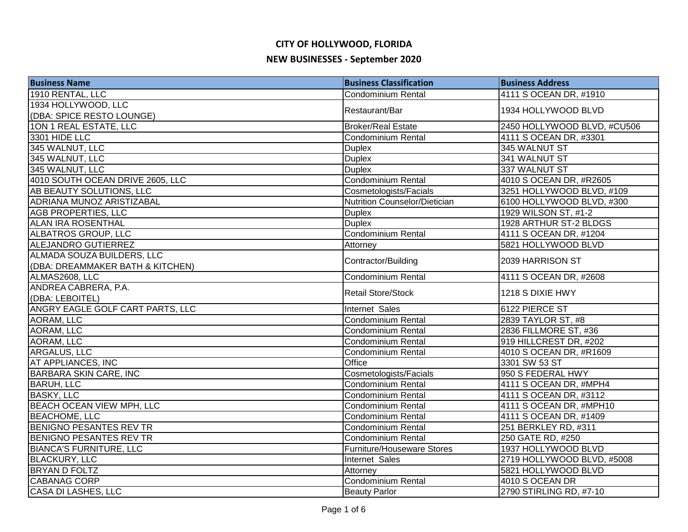| <b>Business Name</b>             | <b>Business Classification</b> | <b>Business Address</b>     |
|----------------------------------|--------------------------------|-----------------------------|
| 1910 RENTAL, LLC                 | <b>Condominium Rental</b>      | 4111 S OCEAN DR, #1910      |
| 1934 HOLLYWOOD, LLC              |                                |                             |
| (DBA: SPICE RESTO LOUNGE)        | Restaurant/Bar                 | 1934 HOLLYWOOD BLVD         |
| 10N 1 REAL ESTATE, LLC           | <b>Broker/Real Estate</b>      | 2450 HOLLYWOOD BLVD, #CU506 |
| 3301 HIDE LLC                    | <b>Condominium Rental</b>      | 4111 S OCEAN DR, #3301      |
| 345 WALNUT, LLC                  | <b>Duplex</b>                  | 345 WALNUT ST               |
| 345 WALNUT, LLC                  | <b>Duplex</b>                  | 341 WALNUT ST               |
| 345 WALNUT, LLC                  | <b>Duplex</b>                  | 337 WALNUT ST               |
| 4010 SOUTH OCEAN DRIVE 2605, LLC | <b>Condominium Rental</b>      | 4010 S OCEAN DR, #R2605     |
| AB BEAUTY SOLUTIONS, LLC         | Cosmetologists/Facials         | 3251 HOLLYWOOD BLVD, #109   |
| ADRIANA MUNOZ ARISTIZABAL        | Nutrition Counselor/Dietician  | 6100 HOLLYWOOD BLVD, #300   |
| <b>AGB PROPERTIES, LLC</b>       | <b>Duplex</b>                  | 1929 WILSON ST, #1-2        |
| <b>ALAN IRA ROSENTHAL</b>        | <b>Duplex</b>                  | 1928 ARTHUR ST-2 BLDGS      |
| ALBATROS GROUP, LLC              | Condominium Rental             | 4111 S OCEAN DR, #1204      |
| <b>ALEJANDRO GUTIERREZ</b>       | Attorney                       | 5821 HOLLYWOOD BLVD         |
| ALMADA SOUZA BUILDERS, LLC       | Contractor/Building            | 2039 HARRISON ST            |
| (DBA: DREAMMAKER BATH & KITCHEN) |                                |                             |
| ALMAS2608, LLC                   | Condominium Rental             | 4111 S OCEAN DR, #2608      |
| ANDREA CABRERA, P.A.             | <b>Retail Store/Stock</b>      | 1218 S DIXIE HWY            |
| (DBA: LEBOITEL)                  |                                |                             |
| ANGRY EAGLE GOLF CART PARTS, LLC | Internet Sales                 | 6122 PIERCE ST              |
| AORAM, LLC                       | Condominium Rental             | 2839 TAYLOR ST, #8          |
| AORAM, LLC                       | Condominium Rental             | 2836 FILLMORE ST, #36       |
| AORAM, LLC                       | <b>Condominium Rental</b>      | 919 HILLCREST DR, #202      |
| ARGALUS, LLC                     | <b>Condominium Rental</b>      | 4010 S OCEAN DR, #R1609     |
| <b>AT APPLIANCES, INC</b>        | Office                         | 3301 SW 53 ST               |
| <b>BARBARA SKIN CARE, INC</b>    | Cosmetologists/Facials         | 950 S FEDERAL HWY           |
| <b>BARUH, LLC</b>                | <b>Condominium Rental</b>      | 4111 S OCEAN DR, #MPH4      |
| <b>BASKY, LLC</b>                | Condominium Rental             | 4111 S OCEAN DR, #3112      |
| <b>BEACH OCEAN VIEW MPH, LLC</b> | <b>Condominium Rental</b>      | 4111 S OCEAN DR, #MPH10     |
| <b>BEACHOME, LLC</b>             | Condominium Rental             | 4111 S OCEAN DR, #1409      |
| <b>BENIGNO PESANTES REV TR</b>   | <b>Condominium Rental</b>      | 251 BERKLEY RD, #311        |
| <b>BENIGNO PESANTES REV TR</b>   | Condominium Rental             | 250 GATE RD, #250           |
| <b>BIANCA'S FURNITURE, LLC</b>   | Furniture/Houseware Stores     | 1937 HOLLYWOOD BLVD         |
| <b>BLACKURY, LLC</b>             | Internet Sales                 | 2719 HOLLYWOOD BLVD, #5008  |
| <b>BRYAN D FOLTZ</b>             | Attorney                       | 5821 HOLLYWOOD BLVD         |
| <b>CABANAG CORP</b>              | Condominium Rental             | 4010 S OCEAN DR             |
| <b>CASA DI LASHES, LLC</b>       | <b>Beauty Parlor</b>           | 2790 STIRLING RD, #7-10     |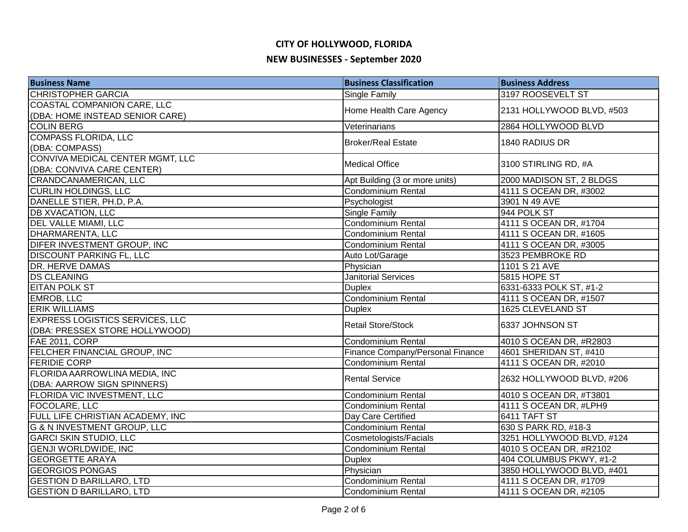| <b>Business Name</b>                   | <b>Business Classification</b>   | <b>Business Address</b>   |
|----------------------------------------|----------------------------------|---------------------------|
| <b>CHRISTOPHER GARCIA</b>              | Single Family                    | 3197 ROOSEVELT ST         |
| COASTAL COMPANION CARE, LLC            |                                  |                           |
| (DBA: HOME INSTEAD SENIOR CARE)        | Home Health Care Agency          | 2131 HOLLYWOOD BLVD, #503 |
| <b>COLIN BERG</b>                      | Veterinarians                    | 2864 HOLLYWOOD BLVD       |
| <b>COMPASS FLORIDA, LLC</b>            | <b>Broker/Real Estate</b>        | 1840 RADIUS DR            |
| (DBA: COMPASS)                         |                                  |                           |
| CONVIVA MEDICAL CENTER MGMT, LLC       | <b>Medical Office</b>            | 3100 STIRLING RD, #A      |
| (DBA: CONVIVA CARE CENTER)             |                                  |                           |
| <b>CRANDCANAMERICAN, LLC</b>           | Apt Building (3 or more units)   | 2000 MADISON ST, 2 BLDGS  |
| <b>CURLIN HOLDINGS, LLC</b>            | Condominium Rental               | 4111 S OCEAN DR, #3002    |
| DANELLE STIER, PH.D, P.A.              | Psychologist                     | 3901 N 49 AVE             |
| <b>DB XVACATION, LLC</b>               | <b>Single Family</b>             | 944 POLK ST               |
| <b>DEL VALLE MIAMI, LLC</b>            | Condominium Rental               | 4111 S OCEAN DR, #1704    |
| DHARMARENTA, LLC                       | <b>Condominium Rental</b>        | 4111 S OCEAN DR, #1605    |
| DIFER INVESTMENT GROUP, INC            | <b>Condominium Rental</b>        | 4111 S OCEAN DR, #3005    |
| <b>DISCOUNT PARKING FL, LLC</b>        | Auto Lot/Garage                  | 3523 PEMBROKE RD          |
| <b>DR. HERVE DAMAS</b>                 | Physician                        | 1101 S 21 AVE             |
| <b>DS CLEANING</b>                     | <b>Janitorial Services</b>       | 5815 HOPE ST              |
| <b>EITAN POLK ST</b>                   | <b>Duplex</b>                    | 6331-6333 POLK ST, #1-2   |
| <b>EMROB, LLC</b>                      | Condominium Rental               | 4111 S OCEAN DR, #1507    |
| <b>ERIK WILLIAMS</b>                   | <b>Duplex</b>                    | 1625 CLEVELAND ST         |
| <b>EXPRESS LOGISTICS SERVICES, LLC</b> | <b>Retail Store/Stock</b>        | 6337 JOHNSON ST           |
| (DBA: PRESSEX STORE HOLLYWOOD)         |                                  |                           |
| FAE 2011, CORP                         | Condominium Rental               | 4010 S OCEAN DR, #R2803   |
| FELCHER FINANCIAL GROUP, INC           | Finance Company/Personal Finance | 4601 SHERIDAN ST, #410    |
| <b>FERIDIE CORP</b>                    | <b>Condominium Rental</b>        | 4111 S OCEAN DR, #2010    |
| FLORIDA AARROWLINA MEDIA, INC          | <b>Rental Service</b>            | 2632 HOLLYWOOD BLVD, #206 |
| (DBA: AARROW SIGN SPINNERS)            |                                  |                           |
| FLORIDA VIC INVESTMENT, LLC            | Condominium Rental               | 4010 S OCEAN DR, #T3801   |
| <b>FOCOLARE, LLC</b>                   | <b>Condominium Rental</b>        | 4111 S OCEAN DR, #LPH9    |
| FULL LIFE CHRISTIAN ACADEMY, INC       | Day Care Certified               | 6411 TAFT ST              |
| <b>G &amp; N INVESTMENT GROUP, LLC</b> | Condominium Rental               | 630 S PARK RD, #18-3      |
| <b>GARCI SKIN STUDIO, LLC</b>          | Cosmetologists/Facials           | 3251 HOLLYWOOD BLVD, #124 |
| <b>GENJI WORLDWIDE, INC</b>            | <b>Condominium Rental</b>        | 4010 S OCEAN DR, #R2102   |
| <b>GEORGETTE ARAYA</b>                 | <b>Duplex</b>                    | 404 COLUMBUS PKWY, #1-2   |
| <b>GEORGIOS PONGAS</b>                 | Physician                        | 3850 HOLLYWOOD BLVD, #401 |
| <b>GESTION D BARILLARO, LTD</b>        | Condominium Rental               | 4111 S OCEAN DR, #1709    |
| <b>GESTION D BARILLARO, LTD</b>        | <b>Condominium Rental</b>        | 4111 S OCEAN DR, #2105    |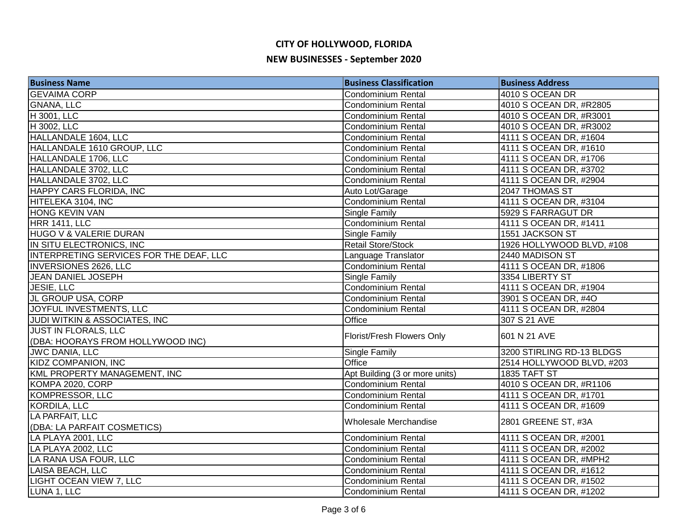| <b>Business Name</b>                    | <b>Business Classification</b> | <b>Business Address</b>   |
|-----------------------------------------|--------------------------------|---------------------------|
| <b>GEVAIMA CORP</b>                     | <b>Condominium Rental</b>      | 4010 S OCEAN DR           |
| <b>GNANA, LLC</b>                       | <b>Condominium Rental</b>      | 4010 S OCEAN DR, #R2805   |
| H 3001, LLC                             | <b>Condominium Rental</b>      | 4010 S OCEAN DR, #R3001   |
| H 3002, LLC                             | <b>Condominium Rental</b>      | 4010 S OCEAN DR, #R3002   |
| HALLANDALE 1604, LLC                    | <b>Condominium Rental</b>      | 4111 S OCEAN DR, #1604    |
| HALLANDALE 1610 GROUP, LLC              | Condominium Rental             | 4111 S OCEAN DR, #1610    |
| HALLANDALE 1706, LLC                    | <b>Condominium Rental</b>      | 4111 S OCEAN DR, #1706    |
| HALLANDALE 3702, LLC                    | Condominium Rental             | 4111 S OCEAN DR, #3702    |
| HALLANDALE 3702, LLC                    | <b>Condominium Rental</b>      | 4111 S OCEAN DR, #2904    |
| <b>HAPPY CARS FLORIDA, INC</b>          | Auto Lot/Garage                | 2047 THOMAS ST            |
| HITELEKA 3104, INC                      | Condominium Rental             | 4111 S OCEAN DR, #3104    |
| <b>HONG KEVIN VAN</b>                   | Single Family                  | 5929 S FARRAGUT DR        |
| <b>HRR 1411, LLC</b>                    | <b>Condominium Rental</b>      | 4111 S OCEAN DR, #1411    |
| HUGO V & VALERIE DURAN                  | Single Family                  | 1551 JACKSON ST           |
| IN SITU ELECTRONICS, INC                | <b>Retail Store/Stock</b>      | 1926 HOLLYWOOD BLVD, #108 |
| INTERPRETING SERVICES FOR THE DEAF, LLC | Language Translator            | 2440 MADISON ST           |
| INVERSIONES 2626, LLC                   | Condominium Rental             | 4111 S OCEAN DR, #1806    |
| <b>JEAN DANIEL JOSEPH</b>               | Single Family                  | 3354 LIBERTY ST           |
| JESIE, LLC                              | Condominium Rental             | 4111 S OCEAN DR, #1904    |
| JL GROUP USA, CORP                      | Condominium Rental             | 3901 S OCEAN DR, #4O      |
| JOYFUL INVESTMENTS, LLC                 | Condominium Rental             | 4111 S OCEAN DR, #2804    |
| JUDI WITKIN & ASSOCIATES, INC           | Office                         | 307 S 21 AVE              |
| JUST IN FLORALS, LLC                    | Florist/Fresh Flowers Only     | 601 N 21 AVE              |
| (DBA: HOORAYS FROM HOLLYWOOD INC)       |                                |                           |
| <b>JWC DANIA, LLC</b>                   | Single Family                  | 3200 STIRLING RD-13 BLDGS |
| <b>KIDZ COMPANION, INC</b>              | Office                         | 2514 HOLLYWOOD BLVD, #203 |
| KML PROPERTY MANAGEMENT, INC            | Apt Building (3 or more units) | 1835 TAFT ST              |
| KOMPA 2020, CORP                        | <b>Condominium Rental</b>      | 4010 S OCEAN DR, #R1106   |
| <b>KOMPRESSOR, LLC</b>                  | Condominium Rental             | 4111 S OCEAN DR, #1701    |
| <b>KORDILA, LLC</b>                     | Condominium Rental             | 4111 S OCEAN DR, #1609    |
| LA PARFAIT, LLC                         | Wholesale Merchandise          | 2801 GREENE ST, #3A       |
| (DBA: LA PARFAIT COSMETICS)             |                                |                           |
| LA PLAYA 2001, LLC                      | Condominium Rental             | 4111 S OCEAN DR, #2001    |
| LA PLAYA 2002, LLC                      | <b>Condominium Rental</b>      | 4111 S OCEAN DR, #2002    |
| LA RANA USA FOUR, LLC                   | <b>Condominium Rental</b>      | 4111 S OCEAN DR, #MPH2    |
| LAISA BEACH, LLC                        | <b>Condominium Rental</b>      | 4111 S OCEAN DR, #1612    |
| <b>LIGHT OCEAN VIEW 7, LLC</b>          | Condominium Rental             | 4111 S OCEAN DR, #1502    |
| LUNA 1, LLC                             | Condominium Rental             | 4111 S OCEAN DR, #1202    |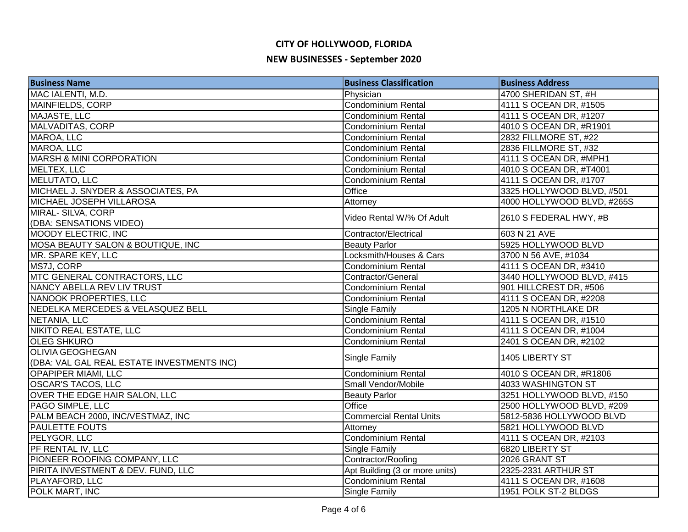| <b>Business Name</b>                       | <b>Business Classification</b> | <b>Business Address</b>    |
|--------------------------------------------|--------------------------------|----------------------------|
| MAC IALENTI, M.D.                          | Physician                      | 4700 SHERIDAN ST, #H       |
| MAINFIELDS, CORP                           | Condominium Rental             | 4111 S OCEAN DR, #1505     |
| MAJASTE, LLC                               | Condominium Rental             | 4111 S OCEAN DR, #1207     |
| MALVADITAS, CORP                           | <b>Condominium Rental</b>      | 4010 S OCEAN DR, #R1901    |
| MAROA, LLC                                 | <b>Condominium Rental</b>      | 2832 FILLMORE ST, #22      |
| MAROA, LLC                                 | <b>Condominium Rental</b>      | 2836 FILLMORE ST, #32      |
| <b>MARSH &amp; MINI CORPORATION</b>        | <b>Condominium Rental</b>      | 4111 S OCEAN DR, #MPH1     |
| MELTEX, LLC                                | Condominium Rental             | 4010 S OCEAN DR, #T4001    |
| MELUTATO, LLC                              | <b>Condominium Rental</b>      | 4111 S OCEAN DR, #1707     |
| MICHAEL J. SNYDER & ASSOCIATES, PA         | Office                         | 3325 HOLLYWOOD BLVD, #501  |
| MICHAEL JOSEPH VILLAROSA                   | Attorney                       | 4000 HOLLYWOOD BLVD, #265S |
| MIRAL- SILVA, CORP                         | Video Rental W/% Of Adult      | 2610 S FEDERAL HWY, #B     |
| (DBA: SENSATIONS VIDEO)                    |                                |                            |
| <b>MOODY ELECTRIC, INC</b>                 | Contractor/Electrical          | 603 N 21 AVE               |
| MOSA BEAUTY SALON & BOUTIQUE, INC          | <b>Beauty Parlor</b>           | 5925 HOLLYWOOD BLVD        |
| MR. SPARE KEY, LLC                         | Locksmith/Houses & Cars        | 3700 N 56 AVE, #1034       |
| MS7J, CORP                                 | Condominium Rental             | 4111 S OCEAN DR, #3410     |
| MTC GENERAL CONTRACTORS, LLC               | Contractor/General             | 3440 HOLLYWOOD BLVD, #415  |
| NANCY ABELLA REV LIV TRUST                 | Condominium Rental             | 901 HILLCREST DR, #506     |
| NANOOK PROPERTIES, LLC                     | Condominium Rental             | 4111 S OCEAN DR, #2208     |
| NEDELKA MERCEDES & VELASQUEZ BELL          | Single Family                  | 1205 N NORTHLAKE DR        |
| NETANIA, LLC                               | Condominium Rental             | 4111 S OCEAN DR, #1510     |
| NIKITO REAL ESTATE, LLC                    | Condominium Rental             | 4111 S OCEAN DR, #1004     |
| <b>OLEG SHKURO</b>                         | <b>Condominium Rental</b>      | 2401 S OCEAN DR, #2102     |
| <b>OLIVIA GEOGHEGAN</b>                    |                                | 1405 LIBERTY ST            |
| (DBA: VAL GAL REAL ESTATE INVESTMENTS INC) | Single Family                  |                            |
| <b>OPAPIPER MIAMI, LLC</b>                 | <b>Condominium Rental</b>      | 4010 S OCEAN DR, #R1806    |
| <b>OSCAR'S TACOS, LLC</b>                  | Small Vendor/Mobile            | 4033 WASHINGTON ST         |
| OVER THE EDGE HAIR SALON, LLC              | <b>Beauty Parlor</b>           | 3251 HOLLYWOOD BLVD, #150  |
| PAGO SIMPLE, LLC                           | Office                         | 2500 HOLLYWOOD BLVD, #209  |
| PALM BEACH 2000, INC/VESTMAZ, INC          | <b>Commercial Rental Units</b> | 5812-5836 HOLLYWOOD BLVD   |
| <b>PAULETTE FOUTS</b>                      | Attorney                       | 5821 HOLLYWOOD BLVD        |
| PELYGOR, LLC                               | Condominium Rental             | 4111 S OCEAN DR, #2103     |
| PF RENTAL IV, LLC                          | Single Family                  | 6820 LIBERTY ST            |
| PIONEER ROOFING COMPANY, LLC               | Contractor/Roofing             | 2026 GRANT ST              |
| PIRITA INVESTMENT & DEV. FUND, LLC         | Apt Building (3 or more units) | 2325-2331 ARTHUR ST        |
| PLAYAFORD, LLC                             | Condominium Rental             | 4111 S OCEAN DR, #1608     |
| POLK MART, INC                             | Single Family                  | 1951 POLK ST-2 BLDGS       |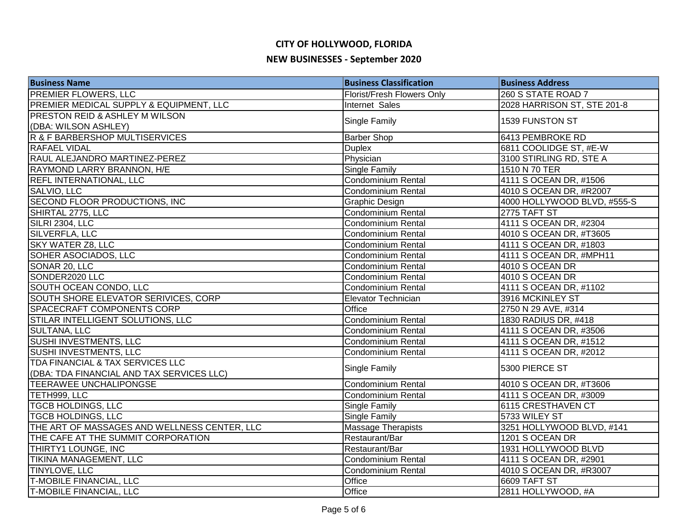| <b>Business Name</b>                         | <b>Business Classification</b> | <b>Business Address</b>     |
|----------------------------------------------|--------------------------------|-----------------------------|
| <b>PREMIER FLOWERS, LLC</b>                  | Florist/Fresh Flowers Only     | 260 S STATE ROAD 7          |
| PREMIER MEDICAL SUPPLY & EQUIPMENT, LLC      | Internet Sales                 | 2028 HARRISON ST, STE 201-8 |
| <b>PRESTON REID &amp; ASHLEY M WILSON</b>    | Single Family                  | 1539 FUNSTON ST             |
| (DBA: WILSON ASHLEY)                         |                                |                             |
| R & F BARBERSHOP MULTISERVICES               | <b>Barber Shop</b>             | 6413 PEMBROKE RD            |
| <b>RAFAEL VIDAL</b>                          | <b>Duplex</b>                  | 6811 COOLIDGE ST, #E-W      |
| RAUL ALEJANDRO MARTINEZ-PEREZ                | Physician                      | 3100 STIRLING RD, STE A     |
| RAYMOND LARRY BRANNON, H/E                   | <b>Single Family</b>           | 1510 N 70 TER               |
| <b>REFL INTERNATIONAL, LLC</b>               | Condominium Rental             | 4111 S OCEAN DR, #1506      |
| SALVIO, LLC                                  | Condominium Rental             | 4010 S OCEAN DR, #R2007     |
| SECOND FLOOR PRODUCTIONS, INC                | <b>Graphic Design</b>          | 4000 HOLLYWOOD BLVD, #555-S |
| SHIRTAL 2775, LLC                            | Condominium Rental             | 2775 TAFT ST                |
| SILRI 2304, LLC                              | Condominium Rental             | 4111 S OCEAN DR, #2304      |
| SILVERFLA, LLC                               | <b>Condominium Rental</b>      | 4010 S OCEAN DR, #T3605     |
| <b>SKY WATER Z8, LLC</b>                     | <b>Condominium Rental</b>      | 4111 S OCEAN DR, #1803      |
| SOHER ASOCIADOS, LLC                         | Condominium Rental             | 4111 S OCEAN DR, #MPH11     |
| SONAR 20, LLC                                | <b>Condominium Rental</b>      | 4010 S OCEAN DR             |
| SONDER2020 LLC                               | <b>Condominium Rental</b>      | 4010 S OCEAN DR             |
| SOUTH OCEAN CONDO, LLC                       | <b>Condominium Rental</b>      | 4111 S OCEAN DR, #1102      |
| SOUTH SHORE ELEVATOR SERIVICES, CORP         | Elevator Technician            | 3916 MCKINLEY ST            |
| <b>SPACECRAFT COMPONENTS CORP</b>            | Office                         | 2750 N 29 AVE, #314         |
| STILAR INTELLIGENT SOLUTIONS, LLC            | Condominium Rental             | 1830 RADIUS DR, #418        |
| <b>SULTANA, LLC</b>                          | <b>Condominium Rental</b>      | 4111 S OCEAN DR, #3506      |
| SUSHI INVESTMENTS, LLC                       | Condominium Rental             | 4111 S OCEAN DR, #1512      |
| <b>SUSHI INVESTMENTS, LLC</b>                | <b>Condominium Rental</b>      | 4111 S OCEAN DR, #2012      |
| TDA FINANCIAL & TAX SERVICES LLC             | Single Family                  | 5300 PIERCE ST              |
| (DBA: TDA FINANCIAL AND TAX SERVICES LLC)    |                                |                             |
| TEERAWEE UNCHALIPONGSE                       | Condominium Rental             | 4010 S OCEAN DR, #T3606     |
| TETH999, LLC                                 | Condominium Rental             | 4111 S OCEAN DR, #3009      |
| <b>TGCB HOLDINGS, LLC</b>                    | <b>Single Family</b>           | 6115 CRESTHAVEN CT          |
| <b>TGCB HOLDINGS, LLC</b>                    | <b>Single Family</b>           | 5733 WILEY ST               |
| THE ART OF MASSAGES AND WELLNESS CENTER, LLC | <b>Massage Therapists</b>      | 3251 HOLLYWOOD BLVD, #141   |
| THE CAFE AT THE SUMMIT CORPORATION           | Restaurant/Bar                 | 1201 S OCEAN DR             |
| THIRTY1 LOUNGE, INC                          | Restaurant/Bar                 | 1931 HOLLYWOOD BLVD         |
| <b>TIKINA MANAGEMENT, LLC</b>                | <b>Condominium Rental</b>      | 4111 S OCEAN DR, #2901      |
| TINYLOVE, LLC                                | <b>Condominium Rental</b>      | 4010 S OCEAN DR, #R3007     |
| <b>T-MOBILE FINANCIAL, LLC</b>               | Office                         | 6609 TAFT ST                |
| <b>T-MOBILE FINANCIAL, LLC</b>               | Office                         | 2811 HOLLYWOOD, #A          |